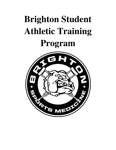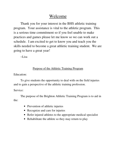# Welcome

Thank you for your interest in the BHS athletic training program. Your assistance is vital to the athletic program. This is a serious time commitment so if you feel unable to make practices and games please let me know so we can work out a schedule. I am excited to get to know you and teach you the skills needed to become a great athletic training student. We are going to have a great year!

 $\sim$ Lisa

# Purpose of the Athletic Training Program

Education:

 To give students the opportunity to deal with on the field injuries and to gain a perspective of the athletic training profession.

Service:

 The purpose of the Brighton Athletic Training Program is to aid in the:

- Prevention of athletic injuries
- Recognize and care for injuries
- Refer injured athletes to the appropriate medical specialist
- Rehabilitate the athlete so they may return to play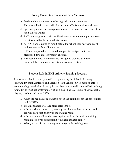# Policy Governing Student Athletic Trainers

- a. Student athletic trainers must be in good academic standing
- b. The head athletic trainer will clear student ATs for enrollment/dismissal
- c. Sport assignments or reassignments may be made at the discretion of the head athletic trainer
- d. SATs are assigned to their specific duties according to the present needs as determined by the head athletic trainer
- e. All SATs are required to report before the school year begins to assist with two-a-day football practices
- f. SATs are expected and required to report for assigned shifts each prescribed days unless properly excused
- g. The head athletic trainer reserves the right to dismiss a student immediately if conduct or violation merits such action

## Student Role in BHS Athletic Training Program

As a student athletic trainer you will be representing the Athletic Training Program, Brighton Athletics, and Brighton High School. SATs must be able to maintain a high level of proficiency in the classroom as well as the athletic training room. SATs must act professionally at all times. The SATs must show respect to players, coaches, and other SATs.

- a. When the head athletic trainer is not in the training room the office must be LOCKED.
- b. Treatment hours will take place after school.
- c. Athletes who are in season, have a game that day, have a bus to catch, etc. will have first priority in the training room
- d. Athletes are not allowed to take equipment from the athletic training room unless given permission by the head athletic trainer
- e. What you hear in the training room stays in the training room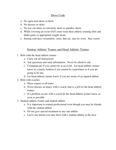## Dress Code

- a. No open toed shoes or heels
- b. No dresses or skirts
- c. No low cut shirts or extremely short or spandex shorts
- d. While covering an event SATs must wear their athletic training shirt and khaki pants or appropriate length shorts
- e. During cold days sweatshirts, coats, hats etc. may be worn. Stay warm!

### Student Athletic Trainer and Head Athletic Trainer

- 1. Role with the head athletic trainer
	- a. Carry out all instructions
	- b. Ask questions and seek information. Never be afraid to ask
	- c. Communicate if you cannot be at an event. Let head athletic trainer know in a timely fashion if you cannot be somewhere or if you are going to be late
	- d. Let head athletic trainer know if you are aware of an injured athlete
- 2. Role with coaches
	- a. Show respect at all times
	- b. Never discuss an injury with a coach, that is a job for the head athletic trainer
	- c. If a problem occurs with a coach let the head athletic trainer know as soon as possible
- 3. Student athletic trainer and student athlete
	- a. It is important to remain professional even though you may be friends with the student athlete
	- b. Do not give special treatment to any one athlete
	- c. Leave any drama you may have with a student athlete at the door